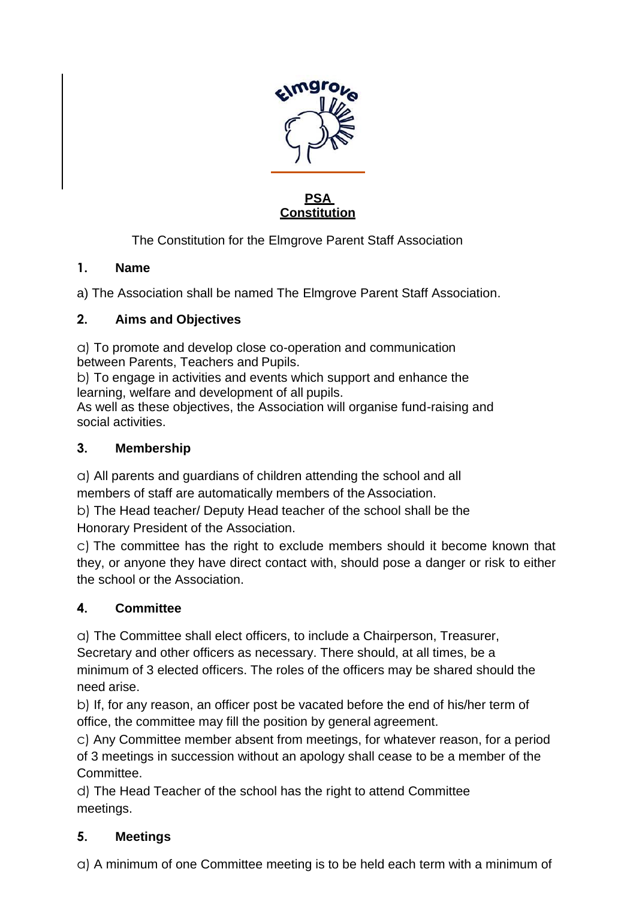

#### **PSA Constitution**

The Constitution for the Elmgrove Parent Staff Association

#### **1. Name**

a) The Association shall be named The Elmgrove Parent Staff Association.

#### **2. Aims and Objectives**

a) To promote and develop close co-operation and communication between Parents, Teachers and Pupils.

b) To engage in activities and events which support and enhance the learning, welfare and development of all pupils.

As well as these objectives, the Association will organise fund-raising and social activities.

### **3. Membership**

a) All parents and guardians of children attending the school and all members of staff are automatically members of the Association.

b) The Head teacher/ Deputy Head teacher of the school shall be the Honorary President of the Association.

c) The committee has the right to exclude members should it become known that they, or anyone they have direct contact with, should pose a danger or risk to either the school or the Association.

## **4. Committee**

a) The Committee shall elect officers, to include a Chairperson, Treasurer, Secretary and other officers as necessary. There should, at all times, be a minimum of 3 elected officers. The roles of the officers may be shared should the need arise.

b) If, for any reason, an officer post be vacated before the end of his/her term of office, the committee may fill the position by general agreement.

c) Any Committee member absent from meetings, for whatever reason, for a period of 3 meetings in succession without an apology shall cease to be a member of the Committee.

d) The Head Teacher of the school has the right to attend Committee meetings.

## **5. Meetings**

a) A minimum of one Committee meeting is to be held each term with a minimum of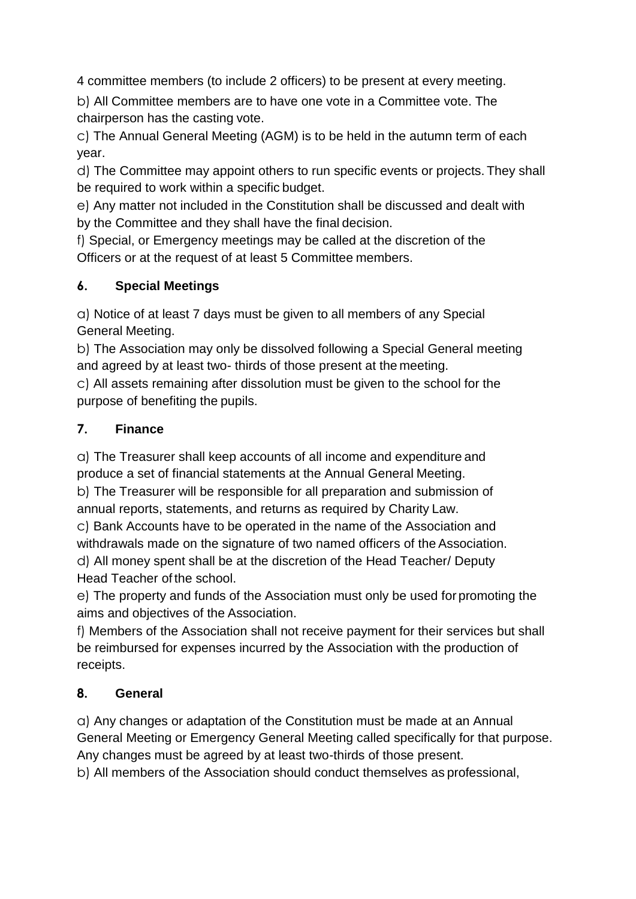4 committee members (to include 2 officers) to be present at every meeting.

b) All Committee members are to have one vote in a Committee vote. The chairperson has the casting vote.

c) The Annual General Meeting (AGM) is to be held in the autumn term of each year.

d) The Committee may appoint others to run specific events or projects. They shall be required to work within a specific budget.

e) Any matter not included in the Constitution shall be discussed and dealt with by the Committee and they shall have the final decision.

f) Special, or Emergency meetings may be called at the discretion of the Officers or at the request of at least 5 Committee members.

## **6. Special Meetings**

a) Notice of at least 7 days must be given to all members of any Special General Meeting.

b) The Association may only be dissolved following a Special General meeting and agreed by at least two- thirds of those present at the meeting.

c) All assets remaining after dissolution must be given to the school for the purpose of benefiting the pupils.

## **7. Finance**

a) The Treasurer shall keep accounts of all income and expenditure and produce a set of financial statements at the Annual General Meeting.

b) The Treasurer will be responsible for all preparation and submission of annual reports, statements, and returns as required by Charity Law.

c) Bank Accounts have to be operated in the name of the Association and withdrawals made on the signature of two named officers of the Association.

d) All money spent shall be at the discretion of the Head Teacher/ Deputy Head Teacher of the school.

e) The property and funds of the Association must only be used for promoting the aims and objectives of the Association.

f) Members of the Association shall not receive payment for their services but shall be reimbursed for expenses incurred by the Association with the production of receipts.

# **8. General**

a) Any changes or adaptation of the Constitution must be made at an Annual General Meeting or Emergency General Meeting called specifically for that purpose. Any changes must be agreed by at least two-thirds of those present.

b) All members of the Association should conduct themselves as professional,